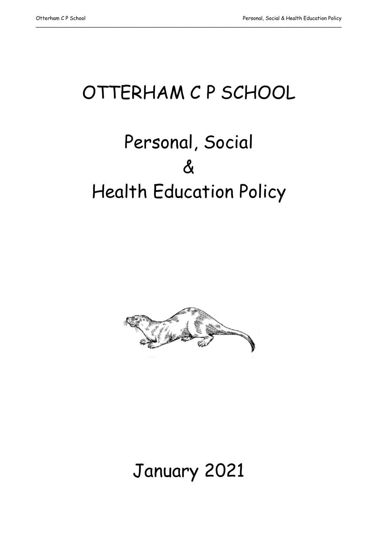# OTTERHAM C P SCHOOL

\_\_\_\_\_\_\_\_\_\_\_\_\_\_\_\_\_\_\_\_\_\_\_\_\_\_\_\_\_\_\_\_\_\_\_\_\_\_\_\_\_\_\_\_\_\_\_\_\_\_\_\_\_\_\_\_\_\_\_\_\_\_\_\_\_\_\_\_\_\_\_\_\_\_\_\_\_\_\_\_\_\_\_\_\_\_\_\_\_\_\_\_\_\_\_\_

# Personal, Social  $\boldsymbol{\delta}$ Health Education Policy



# January 2021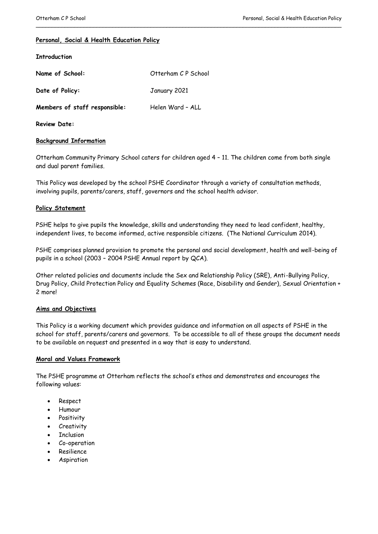# **Personal, Social & Health Education Policy**

#### **Introduction**

| Name of School:               | Otterham CP School |
|-------------------------------|--------------------|
| Date of Policy:               | January 2021       |
| Members of staff responsible: | Helen Ward - ALL   |

**Review Date:**

# **Background Information**

Otterham Community Primary School caters for children aged 4 – 11. The children come from both single and dual parent families.

\_\_\_\_\_\_\_\_\_\_\_\_\_\_\_\_\_\_\_\_\_\_\_\_\_\_\_\_\_\_\_\_\_\_\_\_\_\_\_\_\_\_\_\_\_\_\_\_\_\_\_\_\_\_\_\_\_\_\_\_\_\_\_\_\_\_\_\_\_\_\_\_\_\_\_\_\_\_\_\_\_\_\_\_\_\_\_\_\_\_\_\_\_\_\_\_

This Policy was developed by the school PSHE Coordinator through a variety of consultation methods, involving pupils, parents/carers, staff, governors and the school health advisor.

#### **Policy Statement**

PSHE helps to give pupils the knowledge, skills and understanding they need to lead confident, healthy, independent lives, to become informed, active responsible citizens. (The National Curriculum 2014).

PSHE comprises planned provision to promote the personal and social development, health and well-being of pupils in a school (2003 – 2004 PSHE Annual report by QCA).

Other related policies and documents include the Sex and Relationship Policy (SRE), Anti-Bullying Policy, Drug Policy, Child Protection Policy and Equality Schemes (Race, Disability and Gender), Sexual Orientation + 2 more!

# **Aims and Objectives**

This Policy is a working document which provides guidance and information on all aspects of PSHE in the school for staff, parents/carers and governors. To be accessible to all of these groups the document needs to be available on request and presented in a way that is easy to understand.

# **Moral and Values Framework**

The PSHE programme at Otterham reflects the school's ethos and demonstrates and encourages the following values:

- Respect
- Humour
- Positivity
- Creativity
- Inclusion
- Co-operation
- Resilience
- Aspiration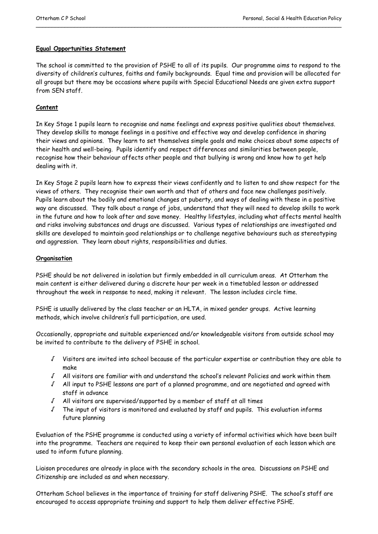# **Equal Opportunities Statement**

The school is committed to the provision of PSHE to all of its pupils. Our programme aims to respond to the diversity of children's cultures, faiths and family backgrounds. Equal time and provision will be allocated for all groups but there may be occasions where pupils with Special Educational Needs are given extra support from SEN staff.

\_\_\_\_\_\_\_\_\_\_\_\_\_\_\_\_\_\_\_\_\_\_\_\_\_\_\_\_\_\_\_\_\_\_\_\_\_\_\_\_\_\_\_\_\_\_\_\_\_\_\_\_\_\_\_\_\_\_\_\_\_\_\_\_\_\_\_\_\_\_\_\_\_\_\_\_\_\_\_\_\_\_\_\_\_\_\_\_\_\_\_\_\_\_\_\_

# **Content**

In Key Stage 1 pupils learn to recognise and name feelings and express positive qualities about themselves. They develop skills to manage feelings in a positive and effective way and develop confidence in sharing their views and opinions. They learn to set themselves simple goals and make choices about some aspects of their health and well-being. Pupils identify and respect differences and similarities between people, recognise how their behaviour affects other people and that bullying is wrong and know how to get help dealing with it.

In Key Stage 2 pupils learn how to express their views confidently and to listen to and show respect for the views of others. They recognise their own worth and that of others and face new challenges positively. Pupils learn about the bodily and emotional changes at puberty, and ways of dealing with these in a positive way are discussed. They talk about a range of jobs, understand that they will need to develop skills to work in the future and how to look after and save money. Healthy lifestyles, including what affects mental health and risks involving substances and drugs are discussed. Various types of relationships are investigated and skills are developed to maintain good relationships or to challenge negative behaviours such as stereotyping and aggression. They learn about rights, responsibilities and duties.

# **Organisation**

PSHE should be not delivered in isolation but firmly embedded in all curriculum areas. At Otterham the main content is either delivered during a discrete hour per week in a timetabled lesson or addressed throughout the week in response to need, making it relevant. The lesson includes circle time.

PSHE is usually delivered by the class teacher or an HLTA, in mixed gender groups. Active learning methods, which involve children's full participation, are used.

Occasionally, appropriate and suitable experienced and/or knowledgeable visitors from outside school may be invited to contribute to the delivery of PSHE in school.

- √ Visitors are invited into school because of the particular expertise or contribution they are able to make
- √ All visitors are familiar with and understand the school's relevant Policies and work within them
- √ All input to PSHE lessons are part of a planned programme, and are negotiated and agreed with staff in advance
- √ All visitors are supervised/supported by a member of staff at all times
- √ The input of visitors is monitored and evaluated by staff and pupils. This evaluation informs future planning

Evaluation of the PSHE programme is conducted using a variety of informal activities which have been built into the programme. Teachers are required to keep their own personal evaluation of each lesson which are used to inform future planning.

Liaison procedures are already in place with the secondary schools in the area. Discussions on PSHE and Citizenship are included as and when necessary.

Otterham School believes in the importance of training for staff delivering PSHE. The school's staff are encouraged to access appropriate training and support to help them deliver effective PSHE.